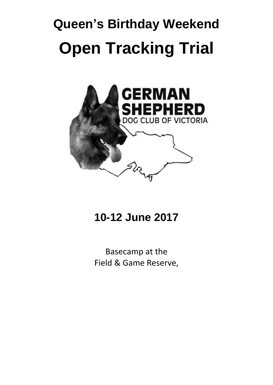# **Queen's Birthday Weekend Open Tracking Trial**



# **10-12 June 2017**

Basecamp at the Field & Game Reserve,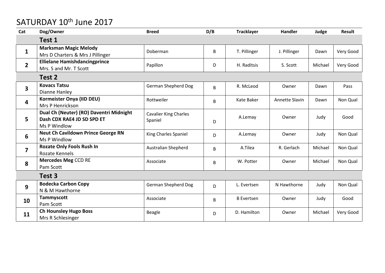#### SATURDAY 10<sup>th</sup> June 2017

| Cat                     | Dog/Owner                                                                             | <b>Breed</b>                            | D/B | <b>Tracklayer</b> | <b>Handler</b>        | Judge   | <b>Result</b> |
|-------------------------|---------------------------------------------------------------------------------------|-----------------------------------------|-----|-------------------|-----------------------|---------|---------------|
|                         | Test 1                                                                                |                                         |     |                   |                       |         |               |
| $\mathbf{1}$            | <b>Marksman Magic Melody</b><br>Mrs D Charters & Mrs J Pillinger                      | Doberman                                | B   | T. Pillinger      | J. Pillinger          | Dawn    | Very Good     |
| $\overline{2}$          | <b>Ellielane Hamishdancingprince</b><br>Mrs. S and Mr. T Scott                        | Papillon                                | D   | H. Raditsis       | S. Scott              | Michael | Very Good     |
|                         | Test 2                                                                                |                                         |     |                   |                       |         |               |
| 3                       | <b>Kovacs Tatsu</b><br>Dianne Hanley                                                  | <b>German Shepherd Dog</b>              | B   | R. McLeod         | Owner                 | Dawn    | Pass          |
| $\overline{\mathbf{4}}$ | Kormeister Onya (IID DEU)<br>Mrs P Henrickson                                         | Rottweiler                              | B   | Kate Baker        | <b>Annette Slavin</b> | Dawn    | Non Qual      |
| 5                       | Dual Ch (Neuter) (RO) Daventri Midnight<br>Dash CDX RAE4 JD SD SPD ET<br>Ms P Windlow | <b>Cavalier King Charles</b><br>Spaniel | D   | A.Lemay           | Owner                 | Judy    | Good          |
| 6                       | <b>Neut Ch Cavildown Prince George RN</b><br>Ms P Windlow                             | King Charles Spaniel                    | D   | A.Lemay           | Owner                 | Judy    | Non Qual      |
| $\overline{7}$          | <b>Rozate Only Fools Rush In</b><br>Rozate Kennels                                    | <b>Australian Shepherd</b>              | B   | A.Tilea           | R. Gerlach            | Michael | Non Qual      |
| 8                       | <b>Mercedes Meg CCD RE</b><br>Pam Scott                                               | Associate                               | B   | W. Potter         | Owner                 | Michael | Non Qual      |
|                         | Test 3                                                                                |                                         |     |                   |                       |         |               |
| 9                       | <b>Bodecka Carbon Copy</b><br>N & M Hawthorne                                         | <b>German Shepherd Dog</b>              | D   | L. Evertsen       | N Hawthorne           | Judy    | Non Qual      |
| 10                      | <b>Tammyscott</b><br>Pam Scott                                                        | Associate                               | B   | <b>B</b> Evertsen | Owner                 | Judy    | Good          |
| 11                      | <b>Ch Hounsley Hugo Boss</b><br>Mrs R Schlesinger                                     | <b>Beagle</b>                           | D   | D. Hamilton       | Owner                 | Michael | Very Good     |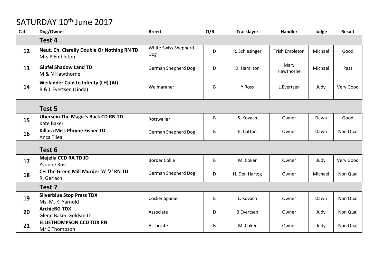#### SATURDAY 10<sup>th</sup> June 2017

| Cat | Dog/Owner                                                             | <b>Breed</b>                | D/B | <b>Tracklayer</b> | <b>Handler</b>        | Judge   | <b>Result</b> |
|-----|-----------------------------------------------------------------------|-----------------------------|-----|-------------------|-----------------------|---------|---------------|
|     | Test 4                                                                |                             |     |                   |                       |         |               |
| 12  | Neut. Ch. Clarelly Double Or Nothing RN TD<br>Mrs P Embleton          | White Swiss Shepherd<br>Dog | D   | R. Schlesinger    | <b>Trish Embleton</b> | Michael | Good          |
| 13  | <b>Gipfel Shadow Land TD</b><br>M & N Hawthorne                       | <b>German Shepherd Dog</b>  | D   | D. Hamilton       | Mary<br>Hawthorne     | Michael | Pass          |
| 14  | <b>Weilander Cold to Infinity (LH) (AI)</b><br>B & L Evertsen (Linda) | Weimaraner                  | B   | Y Ross            | L.Evertsen            | Judy    | Very Good     |
|     | Test 5                                                                |                             |     |                   |                       |         |               |
| 15  | <b>Ubersein The Magic's Back CD RN TD</b><br>Kate Baker               | Rottweiler                  | B   | S. Kovach         | Owner                 | Dawn    | Good          |
| 16  | Killara Miss Phryne Fisher TD<br>Anca Tilea                           | <b>German Shepherd Dog</b>  | B   | E. Catton         | Owner                 | Dawn    | Non Qual      |
|     | Test <sub>6</sub>                                                     |                             |     |                   |                       |         |               |
| 17  | Majella CCD RA TD JD<br><b>Yvonne Ross</b>                            | <b>Border Collie</b>        | B   | M. Coker          | Owner                 | Judy    | Very Good     |
| 18  | CH The Green Mill Murder 'A' 'Z' RN TD<br>R. Gerlach                  | <b>German Shepherd Dog</b>  | D   | H. Den Hartog     | Owner                 | Michael | Non Qual      |
|     | Test 7                                                                |                             |     |                   |                       |         |               |
| 19  | <b>Silverblue Stop Press TDX</b><br>Ms. M. K. Yarnold                 | <b>Cocker Spaniel</b>       | B   | L. Kovach         | Owner                 | Dawn    | Non Qual      |
| 20  | <b>ArchieBG TDX</b><br>Glenn Baker-Goldsmith                          | Associate                   | D   | <b>B</b> Evertsen | Owner                 | Judy    | Non Qual      |
| 21  | <b>ELLIETHOMPSON CCD TDX RN</b><br>Mr C Thompson                      | Associate                   | B   | M. Coker          | Owner                 | Judy    | Non Qual      |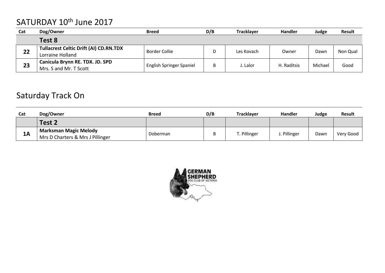#### SATURDAY 10<sup>th</sup> June 2017

| Cat | Dog/Owner                                                         | <b>Breed</b>             | D/B | <b>Tracklayer</b> | <b>Handler</b> | Judge   | Result   |
|-----|-------------------------------------------------------------------|--------------------------|-----|-------------------|----------------|---------|----------|
|     | Test 8                                                            |                          |     |                   |                |         |          |
| 22  | <b>Tullacrest Celtic Drift (AI) CD.RN.TDX</b><br>Lorraine Holland | Border Collie            |     | Les Kovach        | Owner          | Dawn    | Non Qual |
| 23  | Canicula Brynn RE. TDX. JD. SPD<br>Mrs. S and Mr. T Scott         | English Springer Spaniel | B   | . Lalor           | H. Raditsis    | Michael | Good     |

#### Saturday Track On

| Cat | Dog/Owner                                                        | Breed    | D/B | <b>Tracklayer</b> | <b>Handler</b> | Judge | <b>Result</b> |
|-----|------------------------------------------------------------------|----------|-----|-------------------|----------------|-------|---------------|
|     | Test 2                                                           |          |     |                   |                |       |               |
| 1A  | <b>Marksman Magic Melody</b><br>Mrs D Charters & Mrs J Pillinger | Doberman |     | . Pillinger       | J. Pillinger   | Dawn  | Very Good     |

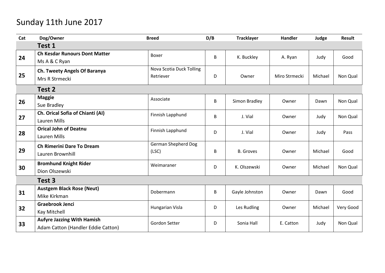### Sunday 11th June 2017

| Cat | Dog/Owner                            | <b>Breed</b>               | D/B | <b>Tracklayer</b> | <b>Handler</b> | Judge   | Result    |
|-----|--------------------------------------|----------------------------|-----|-------------------|----------------|---------|-----------|
|     | Test 1                               |                            |     |                   |                |         |           |
| 24  | <b>Ch Kesdar Runours Dont Matter</b> | Boxer                      | B   | K. Buckley        | A. Ryan        | Judy    | Good      |
|     | Ms A & C Ryan                        |                            |     |                   |                |         |           |
|     | Ch. Tweety Angels Of Baranya         | Nova Scotia Duck Tolling   |     |                   |                |         |           |
| 25  | Mrs R Strmecki                       | Retriever                  | D   | Owner             | Miro Strmecki  | Michael | Non Qual  |
|     | Test 2                               |                            |     |                   |                |         |           |
|     | <b>Maggie</b>                        | Associate                  | B   | Simon Bradley     | Owner          | Dawn    | Non Qual  |
| 26  | Sue Bradley                          |                            |     |                   |                |         |           |
| 27  | Ch. Orical Sofia of Chianti (AI)     | Finnish Lapphund           | B   | J. Vial           | Owner          | Judy    | Non Qual  |
|     | Lauren Mills                         |                            |     |                   |                |         |           |
|     | <b>Orical John of Deatnu</b>         | Finnish Lapphund           | D   | J. Vial           | Owner          | Judy    | Pass      |
| 28  | Lauren Mills                         |                            |     |                   |                |         |           |
|     | <b>Ch Rimerini Dare To Dream</b>     | <b>German Shepherd Dog</b> |     |                   |                |         |           |
| 29  | Lauren Brownhill                     | (LSC)                      | B   | <b>B.</b> Groves  | Owner          | Michael | Good      |
|     | <b>Bromhund Knight Rider</b>         | Weimaraner                 |     |                   |                |         |           |
| 30  | Dion Olszewski                       |                            | D   | K. Olszewski      | Owner          | Michael | Non Qual  |
|     | Test 3                               |                            |     |                   |                |         |           |
| 31  | <b>Austgem Black Rose (Neut)</b>     | Dobermann                  | B   | Gayle Johnston    | Owner          | Dawn    | Good      |
|     | Mike Kirkman                         |                            |     |                   |                |         |           |
| 32  | Graebrook Jenci                      | Hungarian Visla            | D   | Les Rudling       | Owner          | Michael | Very Good |
|     | Kay Mitchell                         |                            |     |                   |                |         |           |
|     | <b>Aufyre Jazzing With Hamish</b>    | <b>Gordon Setter</b>       | D   | Sonia Hall        | E. Catton      | Judy    | Non Qual  |
| 33  | Adam Catton (Handler Eddie Catton)   |                            |     |                   |                |         |           |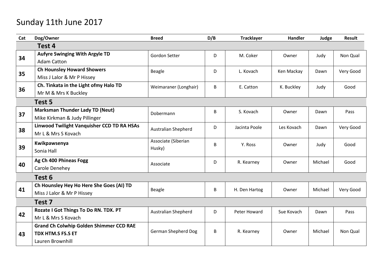### Sunday 11th June 2017

| Cat | Dog/Owner                                         | <b>Breed</b>               | D/B | <b>Tracklayer</b> | <b>Handler</b> | Judge   | Result    |
|-----|---------------------------------------------------|----------------------------|-----|-------------------|----------------|---------|-----------|
|     | Test 4                                            |                            |     |                   |                |         |           |
| 34  | <b>Aufyre Swinging With Argyle TD</b>             | <b>Gordon Setter</b>       | D   | M. Coker          | Owner          | Judy    | Non Qual  |
|     | <b>Adam Catton</b>                                |                            |     |                   |                |         |           |
| 35  | <b>Ch Hounsley Howard Showers</b>                 | Beagle                     | D   | L. Kovach         | Ken Mackay     | Dawn    | Very Good |
|     | Miss J Lalor & Mr P Hissey                        |                            |     |                   |                |         |           |
| 36  | Ch. Tinkata in the Light ofmy Halo TD             | Weimaraner (Longhair)      | B   | E. Catton         | K. Buckley     | Judy    | Good      |
|     | Mr M & Mrs K Buckley                              |                            |     |                   |                |         |           |
|     | Test 5                                            |                            |     |                   |                |         |           |
| 37  | <b>Marksman Thunder Lady TD (Neut)</b>            | Dobermann                  | B   | S. Kovach         | Owner          | Dawn    | Pass      |
|     | Mike Kirkman & Judy Pillinger                     |                            |     |                   |                |         |           |
| 38  | <b>Linwood Twilight Vanquisher CCD TD RA HSAs</b> | Australian Shepherd        | D   | Jacinta Poole     | Les Kovach     | Dawn    | Very Good |
|     | Mr L & Mrs S Kovach                               |                            |     |                   |                |         |           |
|     | Kwikpawsenya                                      | Associate (Siberian        | B   | Y. Ross           | Owner          | Judy    | Good      |
| 39  | Sonia Hall                                        | Husky)                     |     |                   |                |         |           |
|     | Ag Ch 400 Phineas Fogg                            |                            | D   | R. Kearney        | Owner          | Michael | Good      |
| 40  | Carole Denehey                                    | Associate                  |     |                   |                |         |           |
|     | Test 6                                            |                            |     |                   |                |         |           |
|     | Ch Hounsley Hey Ho Here She Goes (AI) TD          |                            |     |                   |                |         |           |
| 41  | Miss J Lalor & Mr P Hissey                        | Beagle                     | B   | H. Den Hartog     | Owner          | Michael | Very Good |
|     | Test 7                                            |                            |     |                   |                |         |           |
| 42  | Rozate I Got Things To Do RN. TDX. PT             | <b>Australian Shepherd</b> | D   | Peter Howard      | Sue Kovach     | Dawn    | Pass      |
|     | Mr L & Mrs S Kovach                               |                            |     |                   |                |         |           |
|     | <b>Grand Ch Colwhip Golden Shimmer CCD RAE</b>    |                            |     |                   |                |         |           |
| 43  | TDX HTM.S FS.S ET                                 | <b>German Shepherd Dog</b> | B   | R. Kearney        | Owner          | Michael | Non Qual  |
|     | Lauren Brownhill                                  |                            |     |                   |                |         |           |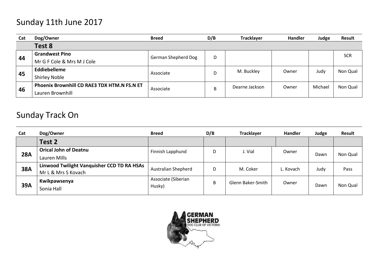### Sunday 11th June 2017

| Cat | Dog/Owner                                          | <b>Breed</b>               | D/B | <b>Tracklayer</b> | <b>Handler</b> | Judge   | <b>Result</b> |
|-----|----------------------------------------------------|----------------------------|-----|-------------------|----------------|---------|---------------|
|     | Test 8                                             |                            |     |                   |                |         |               |
|     | <b>Grandwest Pino</b>                              | <b>German Shepherd Dog</b> | D   |                   |                |         | <b>SCR</b>    |
| 44  | Mr G F Cole & Mrs M J Cole                         |                            |     |                   |                |         |               |
|     | Eddiebelleme                                       | Associate                  |     | M. Buckley        | Owner          | Judy    | Non Qual      |
| 45  | <b>Shirley Noble</b>                               |                            |     |                   |                |         |               |
|     | <b>Phoenix Brownhill CD RAE3 TDX HTM.N FS.N ET</b> | Associate                  | B   | Dearne Jackson    | Owner          | Michael | Non Qual      |
| 46  | Lauren Brownhill                                   |                            |     |                   |                |         |               |

### Sunday Track On

| Cat        | Dog/Owner                                  | Breed                      | D/B | <b>Tracklayer</b>        | <b>Handler</b> | Judge | Result   |
|------------|--------------------------------------------|----------------------------|-----|--------------------------|----------------|-------|----------|
|            | Test 2                                     |                            |     |                          |                |       |          |
|            | <b>Orical John of Deatnu</b>               | Finnish Lapphund           | D   | J. Vial                  | Owner          | Dawn  | Non Qual |
| <b>28A</b> | Lauren Mills                               |                            |     |                          |                |       |          |
| <b>38A</b> | Linwood Twilight Vanquisher CCD TD RA HSAs | <b>Australian Shepherd</b> | D   | M. Coker                 | L. Kovach      | Judy  | Pass     |
|            | Mr L & Mrs S Kovach                        |                            |     |                          |                |       |          |
|            | Kwikpawsenya                               | Associate (Siberian        | B   | <b>Glenn Baker-Smith</b> | Owner          |       |          |
| 39A        | Sonia Hall                                 | Husky)                     |     |                          |                | Dawn  | Non Qual |

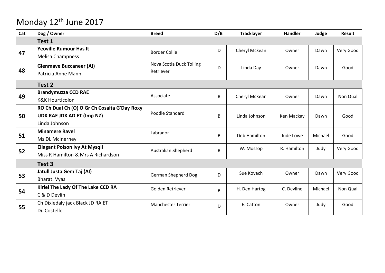# Monday 12<sup>th</sup> June 2017

| Cat | Dog / Owner                                  | <b>Breed</b>               | D/B          | <b>Tracklayer</b> | <b>Handler</b> | Judge   | Result    |
|-----|----------------------------------------------|----------------------------|--------------|-------------------|----------------|---------|-----------|
|     | Test 1                                       |                            |              |                   |                |         |           |
| 47  | <b>Yeoville Rumour Has It</b>                | <b>Border Collie</b>       | D            | Cheryl Mckean     | Owner          | Dawn    | Very Good |
|     | Melisa Champness                             |                            |              |                   |                |         |           |
|     | <b>Glenmave Buccaneer (AI)</b>               | Nova Scotia Duck Tolling   | D            | Linda Day         | Owner          | Dawn    | Good      |
| 48  | Patricia Anne Mann                           | Retriever                  |              |                   |                |         |           |
|     | Test 2                                       |                            |              |                   |                |         |           |
| 49  | <b>Brandymuzza CCD RAE</b>                   | Associate                  | B            | Cheryl McKean     | Owner          | Dawn    | Non Qual  |
|     | <b>K&amp;K Hourticolon</b>                   |                            |              |                   |                |         |           |
|     | RO Ch Dual Ch (O) O Gr Ch Cosalta G'Day Roxy |                            |              |                   |                |         |           |
| 50  | UDX RAE JDX AD ET (Imp NZ)                   | Poodle Standard            | B            | Linda Johnson     | Ken Mackay     | Dawn    | Good      |
|     | Linda Johnson                                |                            |              |                   |                |         |           |
| 51  | <b>Minamere Ravel</b>                        | Labrador                   | B            | Deb Hamilton      | Jude Lowe      | Michael | Good      |
|     | Ms DL McInerney                              |                            |              |                   |                |         |           |
| 52  | <b>Ellagant Poison Ivy At Mysqll</b>         | <b>Australian Shepherd</b> | B            | W. Mossop         | R. Hamilton    | Judy    | Very Good |
|     | Miss R Hamilton & Mrs A Richardson           |                            |              |                   |                |         |           |
|     | Test <sub>3</sub>                            |                            |              |                   |                |         |           |
| 53  | Jatull Justa Gem Taj (AI)                    | <b>German Shepherd Dog</b> | D            | Sue Kovach        | Owner          | Dawn    | Very Good |
|     | Bharat. Vyas                                 |                            |              |                   |                |         |           |
| 54  | Kiriel The Lady Of The Lake CCD RA           | Golden Retriever           | <sub>B</sub> | H. Den Hartog     | C. Devline     | Michael | Non Qual  |
|     | C & D Devlin                                 |                            |              |                   |                |         |           |
|     | Ch Dixiedaly jack Black JD RA ET             | <b>Manchester Terrier</b>  | D            | E. Catton         | Owner          | Judy    | Good      |
| 55  | Di. Costello                                 |                            |              |                   |                |         |           |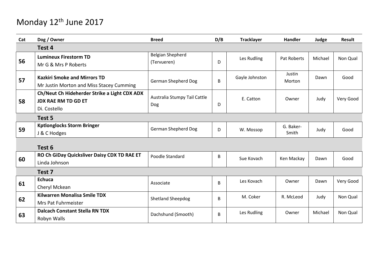# Monday 12<sup>th</sup> June 2017

| Cat | Dog / Owner                                                                                | <b>Breed</b>                           | D/B | <b>Tracklayer</b> | <b>Handler</b>     | Judge   | Result    |
|-----|--------------------------------------------------------------------------------------------|----------------------------------------|-----|-------------------|--------------------|---------|-----------|
|     | Test 4                                                                                     |                                        |     |                   |                    |         |           |
| 56  | <b>Lumineux Firestorm TD</b><br>Mr G & Mrs P Roberts                                       | <b>Belgian Shepherd</b><br>(Tervueren) | D   | Les Rudling       | Pat Roberts        | Michael | Non Qual  |
| 57  | <b>Kazkiri Smoke and Mirrors TD</b><br>Mr Justin Morton and Miss Stacey Cumming            | <b>German Shepherd Dog</b>             | B   | Gayle Johnston    | Justin<br>Morton   | Dawn    | Good      |
| 58  | Ch/Neut Ch Hideherder Strike a Light CDX ADX<br><b>JDX RAE RM TD GD ET</b><br>Di. Costello | Australia Stumpy Tail Cattle<br>Dog    | D   | E. Catton         | Owner              | Judy    | Very Good |
|     | Test 5                                                                                     |                                        |     |                   |                    |         |           |
| 59  | <b>Kptlonglocks Storm Bringer</b><br>J & C Hodges                                          | <b>German Shepherd Dog</b>             | D   | W. Mossop         | G. Baker-<br>Smith | Judy    | Good      |
|     | Test <sub>6</sub>                                                                          |                                        |     |                   |                    |         |           |
| 60  | RO Ch GiDay Quicksliver Daisy CDX TD RAE ET<br>Linda Johnson                               | Poodle Standard                        | B   | Sue Kovach        | Ken Mackay         | Dawn    | Good      |
|     | Test 7                                                                                     |                                        |     |                   |                    |         |           |
| 61  | <b>Echuca</b><br>Cheryl Mckean                                                             | Associate                              | B   | Les Kovach        | Owner              | Dawn    | Very Good |
| 62  | <b>Kilwarren Monalisa Smile TDX</b><br>Mrs Pat Fuhrmeister                                 | <b>Shetland Sheepdog</b>               | B   | M. Coker          | R. McLeod          | Judy    | Non Qual  |
| 63  | <b>Dalcach Constant Stella RN TDX</b><br>Robyn Walls                                       | Dachshund (Smooth)                     | B   | Les Rudling       | Owner              | Michael | Non Qual  |